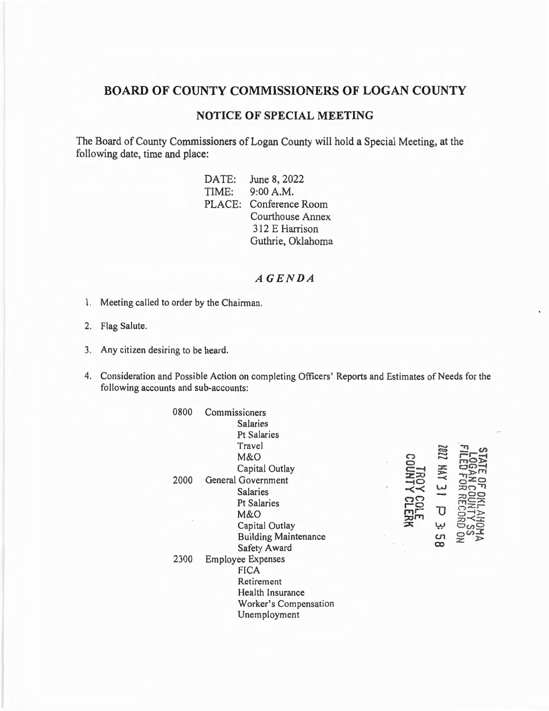## BOARD OF COUNTY COMMISSIONERS OF LOGAN COUNTY

## **NOTICE OF SPECIAL MEETING**

The Board of County Commissioners of Logan County will hold a Special Meeting, at the following date, time and place:

> DATE: June 8, 2022 TIME: 9:00 A.M. PLACE: Conference Room Courthouse Annex 312 E Harrison Guthrie, Oklahoma

## $AGENDA$

- 1. Meeting called to order by the Chairman.
- 2. Flag Salute.
- 3. Any citizen desiring to be heard.
- 4. Consideration and Possible Action on completing Officers' Reports and Estimates of Needs for the following accounts and sub-accounts:

| 0800 | Commissioners               |  |
|------|-----------------------------|--|
|      | <b>Salaries</b>             |  |
|      | <b>Pt Salaries</b>          |  |
|      | Travel                      |  |
|      | M&O                         |  |
|      | Capital Outlay              |  |
| 2000 | <b>General Government</b>   |  |
|      | <b>Salaries</b>             |  |
|      | <b>Pt Salaries</b>          |  |
|      | M&O                         |  |
|      | Capital Outlay              |  |
|      | <b>Building Maintenance</b> |  |
|      | <b>Safety Award</b>         |  |
| 2300 | <b>Employee Expenses</b>    |  |
|      | <b>FICA</b>                 |  |
|      | Retirement                  |  |
|      | <b>Health Insurance</b>     |  |
|      | Worker's Compensation       |  |
|      | Unemployment                |  |
|      |                             |  |

| က                                       | 22DZ             | FOR                                        |
|-----------------------------------------|------------------|--------------------------------------------|
| <b>NOOR</b>                             | <b>XWM</b>       | <b>DO-</b>                                 |
| $\overline{\mathbf{a}}$<br>$\prec\prec$ | ىيا              | E DE<br>PAC<br>POR                         |
| က<br>řo<br>品                            | τ                | <b>OKLAHOMA</b><br>SOUNTY SS<br>SRECORD ON |
| $\mathbf{x}$                            | ىپ               |                                            |
|                                         | cл<br>$\tilde{}$ |                                            |